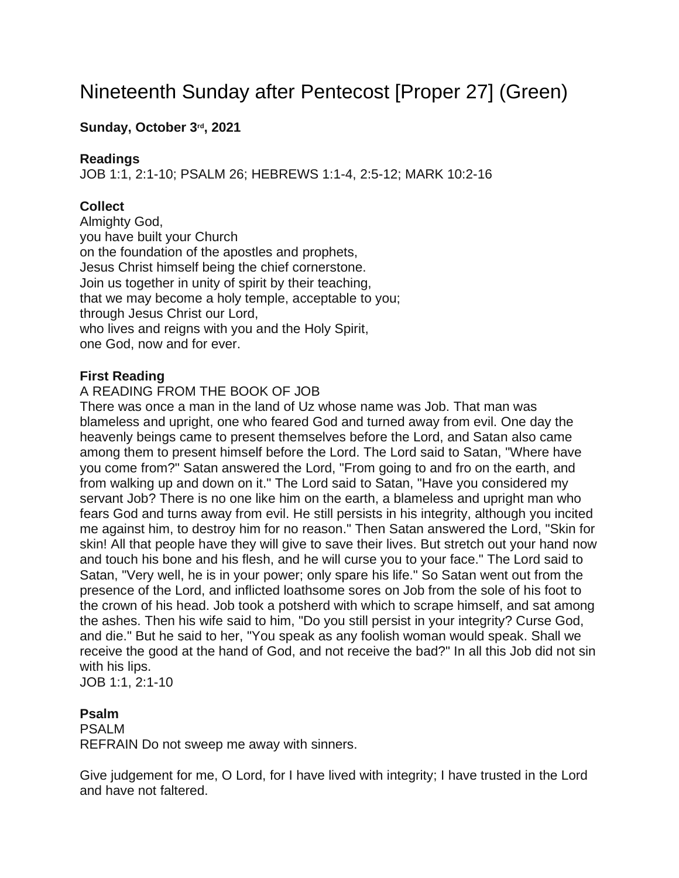# Nineteenth Sunday after Pentecost [Proper 27] (Green)

# **Sunday, October 3rd, 2021**

#### **Readings**

JOB 1:1, 2:1-10; PSALM 26; HEBREWS 1:1-4, 2:5-12; MARK 10:2-16

# **Collect**

Almighty God, you have built your Church on the foundation of the apostles and prophets, Jesus Christ himself being the chief cornerstone. Join us together in unity of spirit by their teaching, that we may become a holy temple, acceptable to you; through Jesus Christ our Lord, who lives and reigns with you and the Holy Spirit, one God, now and for ever.

## **First Reading**

#### A READING FROM THE BOOK OF JOB

There was once a man in the land of Uz whose name was Job. That man was blameless and upright, one who feared God and turned away from evil. One day the heavenly beings came to present themselves before the Lord, and Satan also came among them to present himself before the Lord. The Lord said to Satan, "Where have you come from?" Satan answered the Lord, "From going to and fro on the earth, and from walking up and down on it." The Lord said to Satan, "Have you considered my servant Job? There is no one like him on the earth, a blameless and upright man who fears God and turns away from evil. He still persists in his integrity, although you incited me against him, to destroy him for no reason." Then Satan answered the Lord, "Skin for skin! All that people have they will give to save their lives. But stretch out your hand now and touch his bone and his flesh, and he will curse you to your face." The Lord said to Satan, "Very well, he is in your power; only spare his life." So Satan went out from the presence of the Lord, and inflicted loathsome sores on Job from the sole of his foot to the crown of his head. Job took a potsherd with which to scrape himself, and sat among the ashes. Then his wife said to him, "Do you still persist in your integrity? Curse God, and die." But he said to her, "You speak as any foolish woman would speak. Shall we receive the good at the hand of God, and not receive the bad?" In all this Job did not sin with his lips.

JOB 1:1, 2:1-10

# **Psalm**

PSALM REFRAIN Do not sweep me away with sinners.

Give judgement for me, O Lord, for I have lived with integrity; I have trusted in the Lord and have not faltered.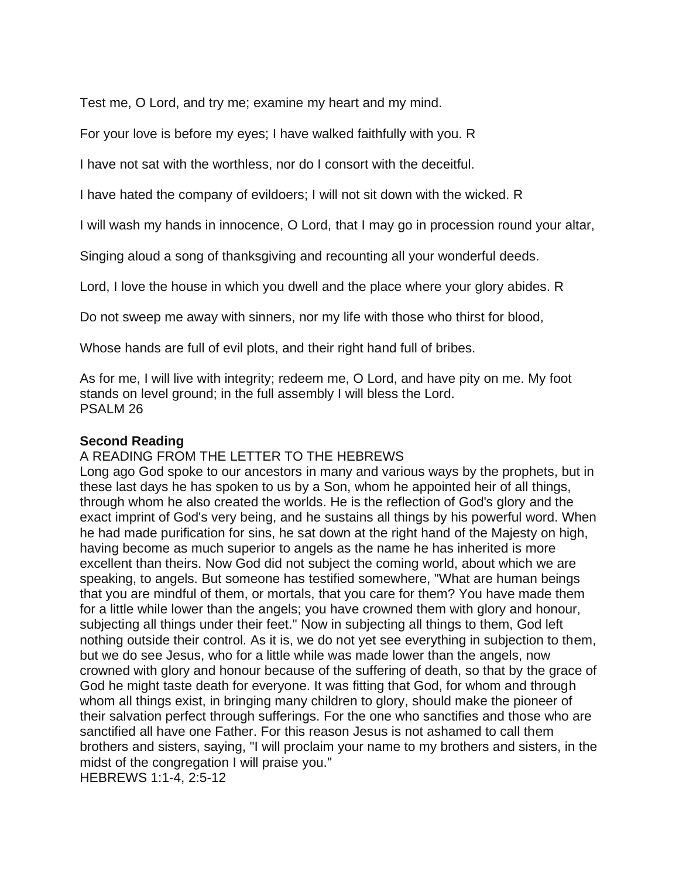Test me, O Lord, and try me; examine my heart and my mind.

For your love is before my eyes; I have walked faithfully with you. R

I have not sat with the worthless, nor do I consort with the deceitful.

I have hated the company of evildoers; I will not sit down with the wicked. R

I will wash my hands in innocence, O Lord, that I may go in procession round your altar,

Singing aloud a song of thanksgiving and recounting all your wonderful deeds.

Lord, I love the house in which you dwell and the place where your glory abides. R

Do not sweep me away with sinners, nor my life with those who thirst for blood,

Whose hands are full of evil plots, and their right hand full of bribes.

As for me, I will live with integrity; redeem me, O Lord, and have pity on me. My foot stands on level ground; in the full assembly I will bless the Lord. PSALM 26

#### **Second Reading**

## A READING FROM THE LETTER TO THE HEBREWS

Long ago God spoke to our ancestors in many and various ways by the prophets, but in these last days he has spoken to us by a Son, whom he appointed heir of all things, through whom he also created the worlds. He is the reflection of God's glory and the exact imprint of God's very being, and he sustains all things by his powerful word. When he had made purification for sins, he sat down at the right hand of the Majesty on high, having become as much superior to angels as the name he has inherited is more excellent than theirs. Now God did not subject the coming world, about which we are speaking, to angels. But someone has testified somewhere, "What are human beings that you are mindful of them, or mortals, that you care for them? You have made them for a little while lower than the angels; you have crowned them with glory and honour, subjecting all things under their feet." Now in subjecting all things to them, God left nothing outside their control. As it is, we do not yet see everything in subjection to them, but we do see Jesus, who for a little while was made lower than the angels, now crowned with glory and honour because of the suffering of death, so that by the grace of God he might taste death for everyone. It was fitting that God, for whom and through whom all things exist, in bringing many children to glory, should make the pioneer of their salvation perfect through sufferings. For the one who sanctifies and those who are sanctified all have one Father. For this reason Jesus is not ashamed to call them brothers and sisters, saying, "I will proclaim your name to my brothers and sisters, in the midst of the congregation I will praise you."

HEBREWS 1:1-4, 2:5-12